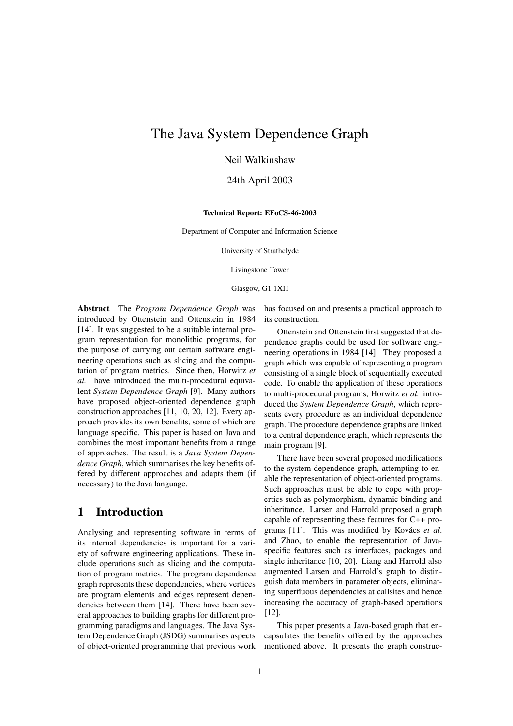## The Java System Dependence Graph

Neil Walkinshaw

24th April 2003

#### **Technical Report: EFoCS-46-2003**

Department of Computer and Information Science

University of Strathclyde

Livingstone Tower

Glasgow, G1 1XH

**Abstract** The *Program Dependence Graph* was introduced by Ottenstein and Ottenstein in 1984 [14]. It was suggested to be a suitable internal program representation for monolithic programs, for the purpose of carrying out certain software engineering operations such as slicing and the computation of program metrics. Since then, Horwitz *et al.* have introduced the multi-procedural equivalent *System Dependence Graph* [9]. Many authors have proposed object-oriented dependence graph construction approaches [11, 10, 20, 12]. Every approach provides its own benefits, some of which are language specific. This paper is based on Java and combines the most important benefits from a range of approaches. The result is a *Java System Dependence Graph*, which summarises the key benefits offered by different approaches and adapts them (if necessary) to the Java language.

## **1 Introduction**

Analysing and representing software in terms of its internal dependencies is important for a variety of software engineering applications. These include operations such as slicing and the computation of program metrics. The program dependence graph represents these dependencies, where vertices are program elements and edges represent dependencies between them [14]. There have been several approaches to building graphs for different programming paradigms and languages. The Java System Dependence Graph (JSDG) summarises aspects of object-oriented programming that previous work has focused on and presents a practical approach to its construction.

Ottenstein and Ottenstein first suggested that dependence graphs could be used for software engineering operations in 1984 [14]. They proposed a graph which was capable of representing a program consisting of a single block of sequentially executed code. To enable the application of these operations to multi-procedural programs, Horwitz *et al.* introduced the *System Dependence Graph*, which represents every procedure as an individual dependence graph. The procedure dependence graphs are linked to a central dependence graph, which represents the main program [9].

There have been several proposed modifications to the system dependence graph, attempting to enable the representation of object-oriented programs. Such approaches must be able to cope with properties such as polymorphism, dynamic binding and inheritance. Larsen and Harrold proposed a graph capable of representing these features for C++ programs [11]. This was modified by Kovács *et al*. and Zhao, to enable the representation of Javaspecific features such as interfaces, packages and single inheritance [10, 20]. Liang and Harrold also augmented Larsen and Harrold's graph to distinguish data members in parameter objects, eliminating superfluous dependencies at callsites and hence increasing the accuracy of graph-based operations [12].

This paper presents a Java-based graph that encapsulates the benefits offered by the approaches mentioned above. It presents the graph construc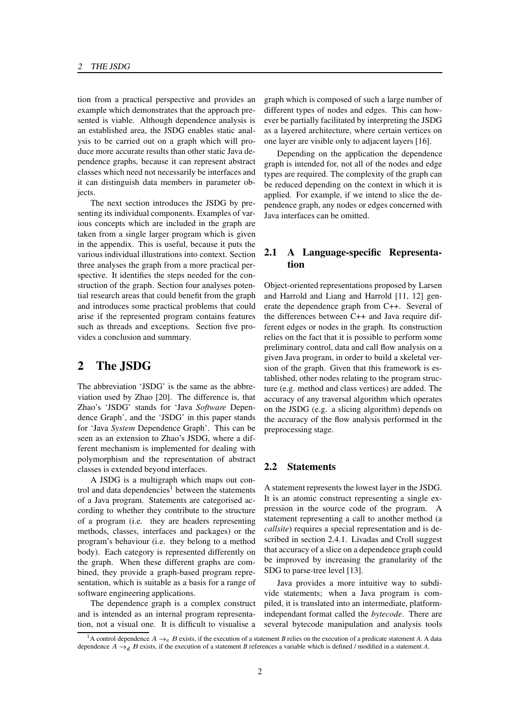tion from a practical perspective and provides an example which demonstrates that the approach presented is viable. Although dependence analysis is an established area, the JSDG enables static analysis to be carried out on a graph which will produce more accurate results than other static Java dependence graphs, because it can represent abstract classes which need not necessarily be interfaces and it can distinguish data members in parameter objects.

The next section introduces the JSDG by presenting its individual components. Examples of various concepts which are included in the graph are taken from a single larger program which is given in the appendix. This is useful, because it puts the various individual illustrations into context. Section three analyses the graph from a more practical perspective. It identifies the steps needed for the construction of the graph. Section four analyses potential research areas that could benefit from the graph and introduces some practical problems that could arise if the represented program contains features such as threads and exceptions. Section five provides a conclusion and summary.

## **2 The JSDG**

The abbreviation 'JSDG' is the same as the abbreviation used by Zhao [20]. The difference is, that Zhao's 'JSDG' stands for 'Java *Software* Dependence Graph', and the 'JSDG' in this paper stands for 'Java *System* Dependence Graph'. This can be seen as an extension to Zhao's JSDG, where a different mechanism is implemented for dealing with polymorphism and the representation of abstract classes is extended beyond interfaces.

A JSDG is a multigraph which maps out control and data dependencies<sup>1</sup> between the statements of a Java program. Statements are categorised according to whether they contribute to the structure of a program (i.e. they are headers representing methods, classes, interfaces and packages) or the program's behaviour (i.e. they belong to a method body). Each category is represented differently on the graph. When these different graphs are combined, they provide a graph-based program representation, which is suitable as a basis for a range of software engineering applications.

The dependence graph is a complex construct and is intended as an internal program representation, not a visual one. It is difficult to visualise a graph which is composed of such a large number of different types of nodes and edges. This can however be partially facilitated by interpreting the JSDG as a layered architecture, where certain vertices on one layer are visible only to adjacent layers [16].

Depending on the application the dependence graph is intended for, not all of the nodes and edge types are required. The complexity of the graph can be reduced depending on the context in which it is applied. For example, if we intend to slice the dependence graph, any nodes or edges concerned with Java interfaces can be omitted.

#### **2.1 A Language-specific Representation**

Object-oriented representations proposed by Larsen and Harrold and Liang and Harrold [11, 12] generate the dependence graph from C++. Several of the differences between C++ and Java require different edges or nodes in the graph. Its construction relies on the fact that it is possible to perform some preliminary control, data and call flow analysis on a given Java program, in order to build a skeletal version of the graph. Given that this framework is established, other nodes relating to the program structure (e.g. method and class vertices) are added. The accuracy of any traversal algorithm which operates on the JSDG (e.g. a slicing algorithm) depends on the accuracy of the flow analysis performed in the preprocessing stage.

#### **2.2 Statements**

A statement represents the lowest layer in the JSDG. It is an atomic construct representing a single expression in the source code of the program. A statement representing a call to another method (a *callsite*) requires a special representation and is described in section 2.4.1. Livadas and Croll suggest that accuracy of a slice on a dependence graph could be improved by increasing the granularity of the SDG to parse-tree level [13].

Java provides a more intuitive way to subdivide statements; when a Java program is compiled, it is translated into an intermediate, platformindependant format called the *bytecode*. There are several bytecode manipulation and analysis tools

<sup>&</sup>lt;sup>1</sup>A control dependence  $A \rightarrow_c B$  exists, if the execution of a statement *B* relies on the execution of a predicate statement *A*. A data dependence  $A \rightarrow_d B$  exists, if the execution of a statement *B* references a variable which is defined / modified in a statement *A*.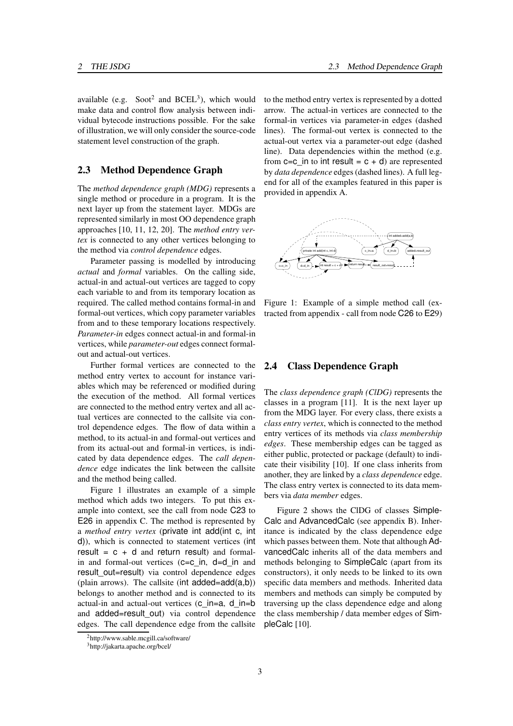available (e.g. Soot<sup>2</sup> and BCEL<sup>3</sup>), which would make data and control flow analysis between individual bytecode instructions possible. For the sake of illustration, we will only consider the source-code statement level construction of the graph.

#### **2.3 Method Dependence Graph**

The *method dependence graph (MDG)* represents a single method or procedure in a program. It is the next layer up from the statement layer. MDGs are represented similarly in most OO dependence graph approaches [10, 11, 12, 20]. The *method entry vertex* is connected to any other vertices belonging to the method via *control dependence* edges.

Parameter passing is modelled by introducing *actual* and *formal* variables. On the calling side, actual-in and actual-out vertices are tagged to copy each variable to and from its temporary location as required. The called method contains formal-in and formal-out vertices, which copy parameter variables from and to these temporary locations respectively. *Parameter-in* edges connect actual-in and formal-in vertices, while *parameter-out* edges connect formalout and actual-out vertices.

Further formal vertices are connected to the method entry vertex to account for instance variables which may be referenced or modified during the execution of the method. All formal vertices are connected to the method entry vertex and all actual vertices are connected to the callsite via control dependence edges. The flow of data within a method, to its actual-in and formal-out vertices and from its actual-out and formal-in vertices, is indicated by data dependence edges. The *call dependence* edge indicates the link between the callsite and the method being called.

Figure 1 illustrates an example of a simple method which adds two integers. To put this example into context, see the call from node C23 to E26 in appendix C. The method is represented by a *method entry vertex* (private int add(int c, int d)), which is connected to statement vertices (int result =  $c + d$  and return result) and formalin and formal-out vertices (c=c\_in, d=d\_in and result out=result) via control dependence edges (plain arrows). The callsite (int  $added = add(a,b)$ ) belongs to another method and is connected to its actual-in and actual-out vertices (c\_in=a, d\_in=b and added=result\_out) via control dependence edges. The call dependence edge from the callsite to the method entry vertex is represented by a dotted arrow. The actual-in vertices are connected to the formal-in vertices via parameter-in edges (dashed lines). The formal-out vertex is connected to the actual-out vertex via a parameter-out edge (dashed line). Data dependencies within the method (e.g. from  $c=c$  in to int result =  $c + d$ ) are represented by *data dependence* edges (dashed lines). A full legend for all of the examples featured in this paper is provided in appendix A.



Figure 1: Example of a simple method call (extracted from appendix - call from node C26 to E29)

#### **2.4 Class Dependence Graph**

The *class dependence graph (ClDG)* represents the classes in a program [11]. It is the next layer up from the MDG layer. For every class, there exists a *class entry vertex*, which is connected to the method entry vertices of its methods via *class membership edges*. These membership edges can be tagged as either public, protected or package (default) to indicate their visibility [10]. If one class inherits from another, they are linked by a *class dependence* edge. The class entry vertex is connected to its data members via *data member* edges.

Figure 2 shows the ClDG of classes Simple-Calc and AdvancedCalc (see appendix B). Inheritance is indicated by the class dependence edge which passes between them. Note that although AdvancedCalc inherits all of the data members and methods belonging to SimpleCalc (apart from its constructors), it only needs to be linked to its own specific data members and methods. Inherited data members and methods can simply be computed by traversing up the class dependence edge and along the class membership / data member edges of SimpleCalc [10].

<sup>2</sup>http://www.sable.mcgill.ca/software/

<sup>3</sup>http://jakarta.apache.org/bcel/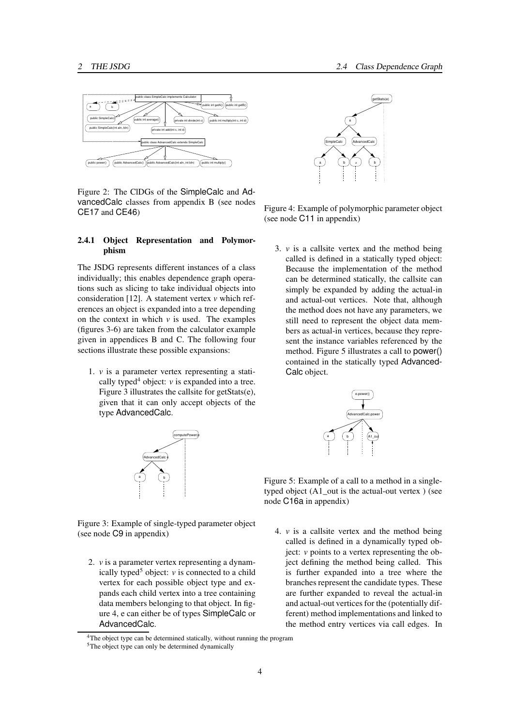

Figure 2: The ClDGs of the SimpleCalc and AdvancedCalc classes from appendix B (see nodes CE17 and CE46)

#### **2.4.1 Object Representation and Polymorphism**

The JSDG represents different instances of a class individually; this enables dependence graph operations such as slicing to take individual objects into consideration [12]. A statement vertex *v* which references an object is expanded into a tree depending on the context in which  $\nu$  is used. The examples (figures 3-6) are taken from the calculator example given in appendices B and C. The following four sections illustrate these possible expansions:

1. *v* is a parameter vertex representing a statically typed<sup>4</sup> object:  $\nu$  is expanded into a tree. Figure 3 illustrates the callsite for getStats(e), given that it can only accept objects of the type AdvancedCalc.



Figure 3: Example of single-typed parameter object (see node C9 in appendix)

2. *v* is a parameter vertex representing a dynamically typed<sup>5</sup> object:  $\nu$  is connected to a child vertex for each possible object type and expands each child vertex into a tree containing data members belonging to that object. In figure 4, e can either be of types SimpleCalc or AdvancedCalc.



Figure 4: Example of polymorphic parameter object (see node C11 in appendix)

3. *v* is a callsite vertex and the method being called is defined in a statically typed object: Because the implementation of the method can be determined statically, the callsite can simply be expanded by adding the actual-in and actual-out vertices. Note that, although the method does not have any parameters, we still need to represent the object data members as actual-in vertices, because they represent the instance variables referenced by the method. Figure 5 illustrates a call to power() contained in the statically typed Advanced-Calc object.



Figure 5: Example of a call to a method in a singletyped object (A1\_out is the actual-out vertex ) (see node C16a in appendix)

4. *v* is a callsite vertex and the method being called is defined in a dynamically typed object: *v* points to a vertex representing the object defining the method being called. This is further expanded into a tree where the branches represent the candidate types. These are further expanded to reveal the actual-in and actual-out vertices for the (potentially different) method implementations and linked to the method entry vertices via call edges. In

<sup>&</sup>lt;sup>4</sup>The object type can be determined statically, without running the program

<sup>&</sup>lt;sup>5</sup>The object type can only be determined dynamically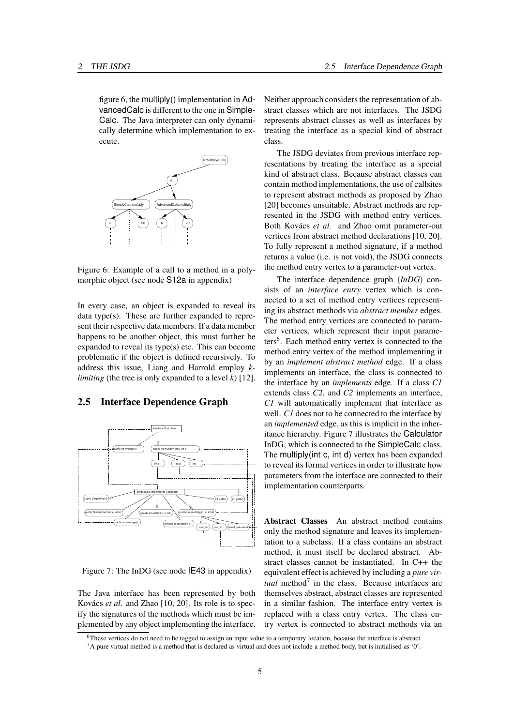figure 6, the multiply() implementation in AdvancedCalc is different to the one in Simple-Calc. The Java interpreter can only dynamically determine which implementation to execute.



Figure 6: Example of a call to a method in a polymorphic object (see node S12a in appendix)

In every case, an object is expanded to reveal its data type(s). These are further expanded to represent their respective data members. If a data member happens to be another object, this must further be expanded to reveal its type(s) etc. This can become problematic if the object is defined recursively. To address this issue, Liang and Harrold employ *klimiting* (the tree is only expanded to a level *k*) [12].

#### **2.5 Interface Dependence Graph**



Figure 7: The InDG (see node IE43 in appendix)

The Java interface has been represented by both Kovács *et al.* and Zhao [10, 20]. Its role is to specify the signatures of the methods which must be implemented by any object implementing the interface. Neither approach considers the representation of abstract classes which are not interfaces. The JSDG represents abstract classes as well as interfaces by treating the interface as a special kind of abstract class.

The JSDG deviates from previous interface representations by treating the interface as a special kind of abstract class. Because abstract classes can contain method implementations, the use of callsites to represent abstract methods as proposed by Zhao [20] becomes unsuitable. Abstract methods are represented in the JSDG with method entry vertices. Both Kovács *et al.* and Zhao omit parameter-out vertices from abstract method declarations [10, 20]. To fully represent a method signature, if a method returns a value (i.e. is not void), the JSDG connects the method entry vertex to a parameter-out vertex.

The interface dependence graph (*InDG*) consists of an *interface entry* vertex which is connected to a set of method entry vertices representing its abstract methods via *abstract member* edges. The method entry vertices are connected to parameter vertices, which represent their input parameters<sup>6</sup>. Each method entry vertex is connected to the method entry vertex of the method implementing it by an *implement abstract method* edge. If a class implements an interface, the class is connected to the interface by an *implements* edge. If a class *C1* extends class *C2*, and *C2* implements an interface, *C1* will automatically implement that interface as well. *C1* does not to be connected to the interface by an *implemented* edge, as this is implicit in the inheritance hierarchy. Figure 7 illustrates the Calculator InDG, which is connected to the SimpleCalc class. The multiply(int c, int d) vertex has been expanded to reveal its formal vertices in order to illustrate how parameters from the interface are connected to their implementation counterparts.

**Abstract Classes** An abstract method contains only the method signature and leaves its implementation to a subclass. If a class contains an abstract method, it must itself be declared abstract. Abstract classes cannot be instantiated. In C++ the equivalent effect is achieved by including a *pure vir* $tual$  method<sup>7</sup> in the class. Because interfaces are themselves abstract, abstract classes are represented in a similar fashion. The interface entry vertex is replaced with a class entry vertex. The class entry vertex is connected to abstract methods via an

<sup>&</sup>lt;sup>6</sup>These vertices do not need to be tagged to assign an input value to a temporary location, because the interface is abstract

 $7A$  pure virtual method is a method that is declared as virtual and does not include a method body, but is initialised as '0'.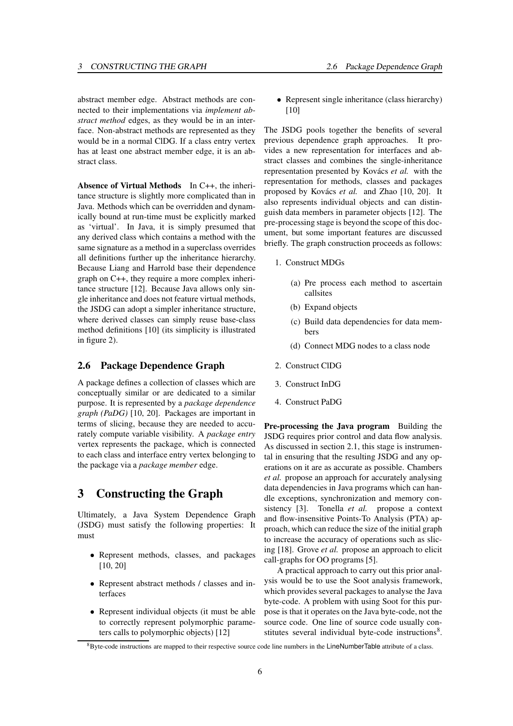abstract member edge. Abstract methods are connected to their implementations via *implement abstract method* edges, as they would be in an interface. Non-abstract methods are represented as they would be in a normal ClDG. If a class entry vertex has at least one abstract member edge, it is an abstract class.

**Absence of Virtual Methods** In C++, the inheritance structure is slightly more complicated than in Java. Methods which can be overridden and dynamically bound at run-time must be explicitly marked as 'virtual'. In Java, it is simply presumed that any derived class which contains a method with the same signature as a method in a superclass overrides all definitions further up the inheritance hierarchy. Because Liang and Harrold base their dependence graph on C++, they require a more complex inheritance structure [12]. Because Java allows only single inheritance and does not feature virtual methods, the JSDG can adopt a simpler inheritance structure, where derived classes can simply reuse base-class method definitions [10] (its simplicity is illustrated in figure 2).

## **2.6 Package Dependence Graph**

A package defines a collection of classes which are conceptually similar or are dedicated to a similar purpose. It is represented by a *package dependence graph (PaDG)* [10, 20]. Packages are important in terms of slicing, because they are needed to accurately compute variable visibility. A *package entry* vertex represents the package, which is connected to each class and interface entry vertex belonging to the package via a *package member* edge.

## **3 Constructing the Graph**

Ultimately, a Java System Dependence Graph (JSDG) must satisfy the following properties: It must

- Represent methods, classes, and packages [10, 20]
- Represent abstract methods / classes and interfaces
- Represent individual objects (it must be able to correctly represent polymorphic parameters calls to polymorphic objects) [12]

 Represent single inheritance (class hierarchy) [10]

The JSDG pools together the benefits of several previous dependence graph approaches. It provides a new representation for interfaces and abstract classes and combines the single-inheritance representation presented by Kovács *et al.* with the representation for methods, classes and packages proposed by Kovács *et al.* and Zhao [10, 20]. It also represents individual objects and can distinguish data members in parameter objects [12]. The pre-processing stage is beyond the scope of this document, but some important features are discussed briefly. The graph construction proceeds as follows:

- 1. Construct MDGs
	- (a) Pre process each method to ascertain callsites
	- (b) Expand objects
	- (c) Build data dependencies for data members
	- (d) Connect MDG nodes to a class node
- 2. Construct ClDG
- 3. Construct InDG
- 4. Construct PaDG

**Pre-processing the Java program** Building the JSDG requires prior control and data flow analysis. As discussed in section 2.1, this stage is instrumental in ensuring that the resulting JSDG and any operations on it are as accurate as possible. Chambers *et al.* propose an approach for accurately analysing data dependencies in Java programs which can handle exceptions, synchronization and memory consistency [3]. Tonella *et al.* propose a context and flow-insensitive Points-To Analysis (PTA) approach, which can reduce the size of the initial graph to increase the accuracy of operations such as slicing [18]. Grove *et al.* propose an approach to elicit call-graphs for OO programs [5].

A practical approach to carry out this prior analysis would be to use the Soot analysis framework, which provides several packages to analyse the Java byte-code. A problem with using Soot for this purpose is that it operates on the Java byte-code, not the source code. One line of source code usually constitutes several individual byte-code instructions<sup>8</sup>.

<sup>&</sup>lt;sup>8</sup>Byte-code instructions are mapped to their respective source code line numbers in the LineNumberTable attribute of a class.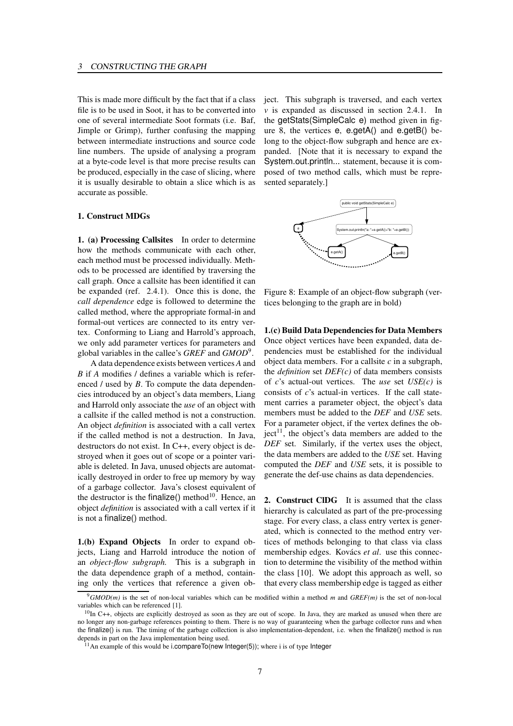This is made more difficult by the fact that if a class file is to be used in Soot, it has to be converted into one of several intermediate Soot formats (i.e. Baf, Jimple or Grimp), further confusing the mapping between intermediate instructions and source code line numbers. The upside of analysing a program at a byte-code level is that more precise results can be produced, especially in the case of slicing, where it is usually desirable to obtain a slice which is as accurate as possible.

#### **1. Construct MDGs**

**1. (a) Processing Callsites** In order to determine how the methods communicate with each other, each method must be processed individually. Methods to be processed are identified by traversing the call graph. Once a callsite has been identified it can be expanded (ref. 2.4.1). Once this is done, the *call dependence* edge is followed to determine the called method, where the appropriate formal-in and formal-out vertices are connected to its entry vertex. Conforming to Liang and Harrold's approach, we only add parameter vertices for parameters and global variables in the callee's *GREF* and *GMOD*<sup>9</sup> .

A data dependence exists between vertices *A* and *B* if *A* modifies / defines a variable which is referenced / used by *B*. To compute the data dependencies introduced by an object's data members, Liang and Harrold only associate the *use* of an object with a callsite if the called method is not a construction. An object *definition* is associated with a call vertex if the called method is not a destruction. In Java, destructors do not exist. In C++, every object is destroyed when it goes out of scope or a pointer variable is deleted. In Java, unused objects are automatically destroyed in order to free up memory by way of a garbage collector. Java's closest equivalent of the destructor is the finalize() method $10$ . Hence, an object *definition* is associated with a call vertex if it is not a finalize() method.

**1.(b) Expand Objects** In order to expand objects, Liang and Harrold introduce the notion of an *object-flow subgraph.* This is a subgraph in the data dependence graph of a method, containing only the vertices that reference a given object. This subgraph is traversed, and each vertex *v* is expanded as discussed in section 2.4.1. In the getStats(SimpleCalc e) method given in figure 8, the vertices  $e$ ,  $e \cdot \text{det}A()$  and  $e \cdot \text{det}B()$  belong to the object-flow subgraph and hence are expanded. [Note that it is necessary to expand the System.out.println... statement, because it is composed of two method calls, which must be represented separately.]



Figure 8: Example of an object-flow subgraph (vertices belonging to the graph are in bold)

**1.(c) Build Data Dependencies for Data Members** Once object vertices have been expanded, data dependencies must be established for the individual object data members. For a callsite *c* in a subgraph, the *definition* set *DEF(c)* of data members consists of *c*'s actual-out vertices. The *use* set *USE(c)* is consists of *c*'s actual-in vertices. If the call statement carries a parameter object, the object's data members must be added to the *DEF* and *USE* sets. For a parameter object, if the vertex defines the ob- $\text{ject}^{11}$ , the object's data members are added to the *DEF* set. Similarly, if the vertex uses the object, the data members are added to the *USE* set. Having computed the *DEF* and *USE* sets, it is possible to generate the def-use chains as data dependencies.

**2. Construct ClDG** It is assumed that the class hierarchy is calculated as part of the pre-processing stage. For every class, a class entry vertex is generated, which is connected to the method entry vertices of methods belonging to that class via class membership edges. Kovács *et al*. use this connection to determine the visibility of the method within the class [10]. We adopt this approach as well, so that every class membership edge is tagged as either

<sup>9</sup>*GMOD(m)* is the set of non-local variables which can be modified within a method *m* and *GREF(m)* is the set of non-local variables which can be referenced [1].

<sup>&</sup>lt;sup>10</sup>In C++, objects are explicitly destroyed as soon as they are out of scope. In Java, they are marked as unused when there are no longer any non-garbage references pointing to them. There is no way of guaranteeing when the garbage collector runs and when the finalize() is run. The timing of the garbage collection is also implementation-dependent, i.e. when the finalize() method is run depends in part on the Java implementation being used.

 $11$ An example of this would be i.compareTo(new Integer(5)); where i is of type Integer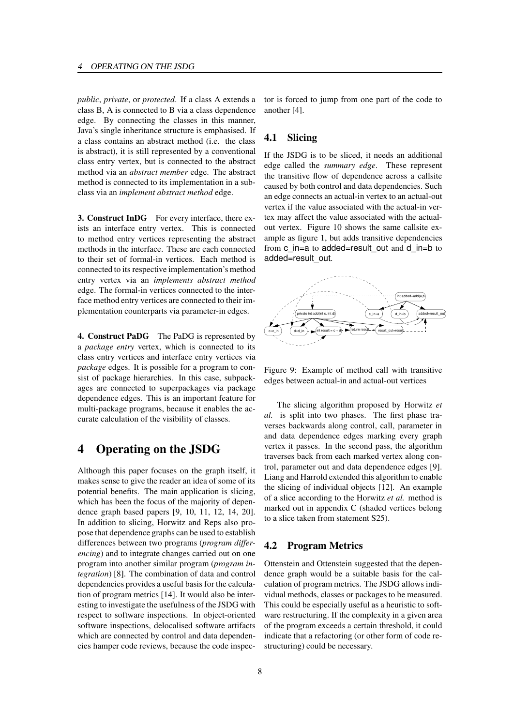*public*, *private*, or *protected*. If a class A extends a class B, A is connected to B via a class dependence edge. By connecting the classes in this manner, Java's single inheritance structure is emphasised. If a class contains an abstract method (i.e. the class is abstract), it is still represented by a conventional class entry vertex, but is connected to the abstract method via an *abstract member* edge. The abstract method is connected to its implementation in a subclass via an *implement abstract method* edge.

**3. Construct InDG** For every interface, there exists an interface entry vertex. This is connected to method entry vertices representing the abstract methods in the interface. These are each connected to their set of formal-in vertices. Each method is connected to its respective implementation's method entry vertex via an *implements abstract method* edge. The formal-in vertices connected to the interface method entry vertices are connected to their implementation counterparts via parameter-in edges.

**4. Construct PaDG** The PaDG is represented by a *package entry* vertex, which is connected to its class entry vertices and interface entry vertices via *package* edges. It is possible for a program to consist of package hierarchies. In this case, subpackages are connected to superpackages via package dependence edges. This is an important feature for multi-package programs, because it enables the accurate calculation of the visibility of classes.

## **4 Operating on the JSDG**

Although this paper focuses on the graph itself, it makes sense to give the reader an idea of some of its potential benefits. The main application is slicing, which has been the focus of the majority of dependence graph based papers [9, 10, 11, 12, 14, 20]. In addition to slicing, Horwitz and Reps also propose that dependence graphs can be used to establish differences between two programs (*program differencing*) and to integrate changes carried out on one program into another similar program (*program integration*) [8]. The combination of data and control dependencies provides a useful basis for the calculation of program metrics [14]. It would also be interesting to investigate the usefulness of the JSDG with respect to software inspections. In object-oriented software inspections, delocalised software artifacts which are connected by control and data dependencies hamper code reviews, because the code inspector is forced to jump from one part of the code to another [4].

#### **4.1 Slicing**

If the JSDG is to be sliced, it needs an additional edge called the *summary edge*. These represent the transitive flow of dependence across a callsite caused by both control and data dependencies. Such an edge connects an actual-in vertex to an actual-out vertex if the value associated with the actual-in vertex may affect the value associated with the actualout vertex. Figure 10 shows the same callsite example as figure 1, but adds transitive dependencies from c\_in=a to added=result\_out and d\_in=b to added=result\_out.



Figure 9: Example of method call with transitive edges between actual-in and actual-out vertices

The slicing algorithm proposed by Horwitz *et al.* is split into two phases. The first phase traverses backwards along control, call, parameter in and data dependence edges marking every graph vertex it passes. In the second pass, the algorithm traverses back from each marked vertex along control, parameter out and data dependence edges [9]. Liang and Harrold extended this algorithm to enable the slicing of individual objects [12]. An example of a slice according to the Horwitz *et al.* method is marked out in appendix C (shaded vertices belong to a slice taken from statement S25).

## **4.2 Program Metrics**

Ottenstein and Ottenstein suggested that the dependence graph would be a suitable basis for the calculation of program metrics. The JSDG allows individual methods, classes or packages to be measured. This could be especially useful as a heuristic to software restructuring. If the complexity in a given area of the program exceeds a certain threshold, it could indicate that a refactoring (or other form of code restructuring) could be necessary.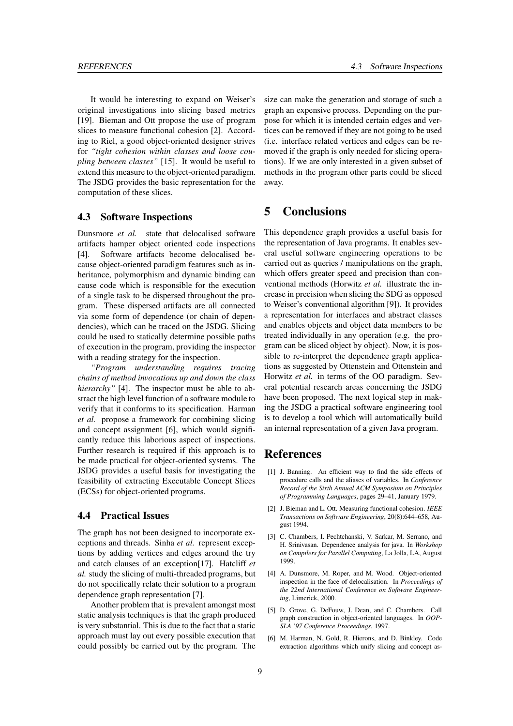It would be interesting to expand on Weiser's original investigations into slicing based metrics [19]. Bieman and Ott propose the use of program slices to measure functional cohesion [2]. According to Riel, a good object-oriented designer strives for *"tight cohesion within classes and loose coupling between classes"* [15]. It would be useful to extend this measure to the object-oriented paradigm. The JSDG provides the basic representation for the computation of these slices.

#### **4.3 Software Inspections**

Dunsmore *et al.* state that delocalised software artifacts hamper object oriented code inspections [4]. Software artifacts become delocalised because object-oriented paradigm features such as inheritance, polymorphism and dynamic binding can cause code which is responsible for the execution of a single task to be dispersed throughout the program. These dispersed artifacts are all connected via some form of dependence (or chain of dependencies), which can be traced on the JSDG. Slicing could be used to statically determine possible paths of execution in the program, providing the inspector with a reading strategy for the inspection.

*"Program understanding requires tracing chains of method invocations up and down the class hierarchy"* [4]. The inspector must be able to abstract the high level function of a software module to verify that it conforms to its specification. Harman *et al.* propose a framework for combining slicing and concept assignment [6], which would significantly reduce this laborious aspect of inspections. Further research is required if this approach is to be made practical for object-oriented systems. The JSDG provides a useful basis for investigating the feasibility of extracting Executable Concept Slices (ECSs) for object-oriented programs.

#### **4.4 Practical Issues**

The graph has not been designed to incorporate exceptions and threads. Sinha *et al.* represent exceptions by adding vertices and edges around the try and catch clauses of an exception[17]. Hatcliff *et al.* study the slicing of multi-threaded programs, but do not specifically relate their solution to a program dependence graph representation [7].

Another problem that is prevalent amongst most static analysis techniques is that the graph produced is very substantial. This is due to the fact that a static approach must lay out every possible execution that could possibly be carried out by the program. The size can make the generation and storage of such a graph an expensive process. Depending on the purpose for which it is intended certain edges and vertices can be removed if they are not going to be used (i.e. interface related vertices and edges can be removed if the graph is only needed for slicing operations). If we are only interested in a given subset of methods in the program other parts could be sliced away.

## **5 Conclusions**

This dependence graph provides a useful basis for the representation of Java programs. It enables several useful software engineering operations to be carried out as queries / manipulations on the graph, which offers greater speed and precision than conventional methods (Horwitz *et al.* illustrate the increase in precision when slicing the SDG as opposed to Weiser's conventional algorithm [9]). It provides a representation for interfaces and abstract classes and enables objects and object data members to be treated individually in any operation (e.g. the program can be sliced object by object). Now, it is possible to re-interpret the dependence graph applications as suggested by Ottenstein and Ottenstein and Horwitz *et al.* in terms of the OO paradigm. Several potential research areas concerning the JSDG have been proposed. The next logical step in making the JSDG a practical software engineering tool is to develop a tool which will automatically build an internal representation of a given Java program.

## **References**

- [1] J. Banning. An efficient way to find the side effects of procedure calls and the aliases of variables. In *Conference Record of the Sixth Annual ACM Symposium on Principles of Programming Languages*, pages 29–41, January 1979.
- [2] J. Bieman and L. Ott. Measuring functional cohesion. *IEEE Transactions on Software Engineering*, 20(8):644–658, August 1994.
- [3] C. Chambers, I. Pechtchanski, V. Sarkar, M. Serrano, and H. Srinivasan. Dependence analysis for java. In *Workshop on Compilers for Parallel Computing*, La Jolla, LA, August 1999.
- [4] A. Dunsmore, M. Roper, and M. Wood. Object-oriented inspection in the face of delocalisation. In *Proceedings of the 22nd International Conference on Software Engineering*, Limerick, 2000.
- [5] D. Grove, G. DeFouw, J. Dean, and C. Chambers. Call graph construction in object-oriented languages. In *OOP-SLA '97 Conference Proceedings*, 1997.
- [6] M. Harman, N. Gold, R. Hierons, and D. Binkley. Code extraction algorithms which unify slicing and concept as-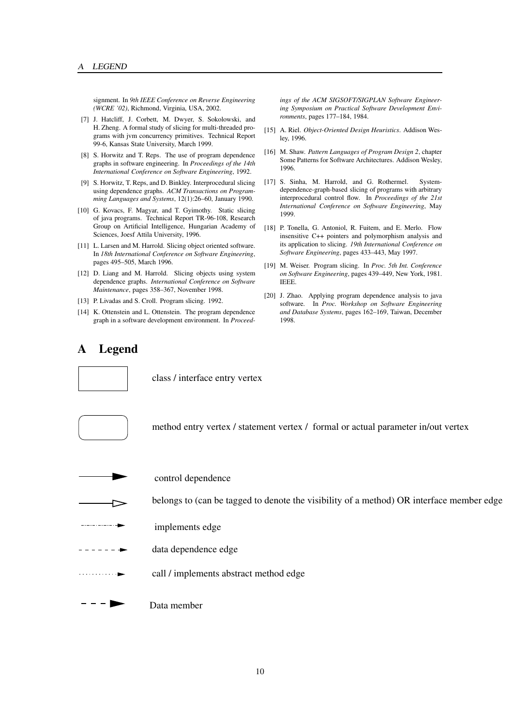signment. In *9th IEEE Conference on Reverse Engineering (WCRE '02)*, Richmond, Virginia, USA, 2002.

- [7] J. Hatcliff, J. Corbett, M. Dwyer, S. Sokolowski, and H. Zheng. A formal study of slicing for multi-threaded programs with jvm concurrency primitives. Technical Report 99-6, Kansas State University, March 1999.
- [8] S. Horwitz and T. Reps. The use of program dependence graphs in software engineering. In *Proceedings of the 14th International Conference on Software Engineering*, 1992.
- [9] S. Horwitz, T. Reps, and D. Binkley. Interprocedural slicing using dependence graphs. *ACM Transactions on Programming Languages and Systems*, 12(1):26–60, January 1990.
- [10] G. Kovacs, F. Magyar, and T. Gyimothy. Static slicing of java programs. Technical Report TR-96-108, Research Group on Artificial Intelligence, Hungarian Academy of Sciences, Joesf Attila University, 1996.
- [11] L. Larsen and M. Harrold. Slicing object oriented software. In *18th International Conference on Software Engineering*, pages 495–505, March 1996.
- [12] D. Liang and M. Harrold. Slicing objects using system dependence graphs. *International Conference on Software Maintenance*, pages 358–367, November 1998.
- [13] P. Livadas and S. Croll. Program slicing. 1992.
- [14] K. Ottenstein and L. Ottenstein. The program dependence graph in a software development environment. In *Proceed-*

## **A Legend**



class / interface entry vertex



method entry vertex / statement vertex / formal or actual parameter in/out vertex



control dependence

belongs to (can be tagged to denote the visibility of a method) OR interface member edge

- . . . . . . . . . . . . implements edge
- data dependence edge
- . . . . . . . . . . . 1 call / implements abstract method edge



*ings of the ACM SIGSOFT/SIGPLAN Software Engineering Symposium on Practical Software Development Environments*, pages 177–184, 1984.

- [15] A. Riel. *Object-Oriented Design Heuristics*. Addison Wesley, 1996.
- [16] M. Shaw. *Pattern Languages of Program Design 2*, chapter Some Patterns for Software Architectures. Addison Wesley, 1996.
- [17] S. Sinha, M. Harrold, and G. Rothermel. Systemdependence-graph-based slicing of programs with arbitrary interprocedural control flow. In *Proceedings of the 21st International Conference on Software Engineering*, May 1999.
- [18] P. Tonella, G. Antoniol, R. Fuitem, and E. Merlo. Flow insensitive C++ pointers and polymorphism analysis and its application to slicing. *19th International Conference on Software Engineering*, pages 433–443, May 1997.
- [19] M. Weiser. Program slicing. In *Proc. 5th Int. Conference on Software Engineering*, pages 439–449, New York, 1981. IEEE.
- [20] J. Zhao. Applying program dependence analysis to java software. In *Proc. Workshop on Software Engineering and Database Systems*, pages 162–169, Taiwan, December 1998.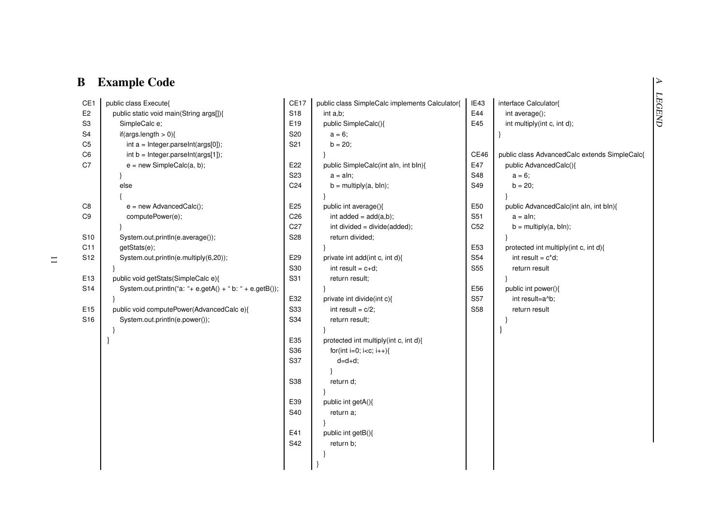# **B Example Code**

| CE1             | public class Execute{                                    | CE17            | public class SimpleCalc implements Calculator{             | IE43            | interface Calculator{                         |
|-----------------|----------------------------------------------------------|-----------------|------------------------------------------------------------|-----------------|-----------------------------------------------|
| E <sub>2</sub>  | public static void main(String args[]){                  | S <sub>18</sub> | int a,b;                                                   | E44             | int average();                                |
| S <sub>3</sub>  | SimpleCalc e;                                            | E19             | public SimpleCalc(){                                       | E45             | int multiply(int c, int d);                   |
| S <sub>4</sub>  | if(args.length $> 0$ ){                                  | S20             | $a = 6$ ;                                                  |                 |                                               |
| C <sub>5</sub>  | $int a = Integer.parseInt(args[0]);$                     | S <sub>21</sub> | $b = 20;$                                                  |                 |                                               |
| C <sub>6</sub>  | $int b = Integer.parseInt(args[1]);$                     |                 |                                                            | CE46            | public class AdvancedCalc extends SimpleCalc{ |
| C7              | $e = new SimpleCalc(a, b);$                              | E22             | public SimpleCalc(int aln, int bln){                       | E47             | public AdvancedCalc(){                        |
|                 |                                                          | S <sub>23</sub> | $a = \text{aln}$ ;                                         | S48             | $a = 6;$                                      |
|                 | else                                                     | C <sub>24</sub> | $b =$ multiply(a, bln);                                    | S49             | $b = 20$ ;                                    |
|                 |                                                          |                 |                                                            |                 |                                               |
| C8              | $e = new AdvancedCalc();$                                | E <sub>25</sub> | public int average(){                                      | E50             | public AdvancedCalc(int aln, int bln){        |
| C9              | computePower(e);                                         | C <sub>26</sub> | int added = $add(a,b)$ ;                                   | S51             | $a = \text{aln};$                             |
|                 |                                                          | C <sub>27</sub> | int divided = divide(added);                               | C <sub>52</sub> | $b =$ multiply(a, bln);                       |
| S <sub>10</sub> | System.out.println(e.average());                         | S <sub>28</sub> | return divided;                                            |                 |                                               |
| C11             | getStats(e);                                             |                 |                                                            | E53             | protected int multiply(int c, int d){         |
| S12             | System.out.println(e.multiply(6,20));                    | E29             | private int add(int c, int d){                             | S54             | int result = $c^*d$ ;                         |
|                 |                                                          | S30             | int result = $c+d$ ;                                       | <b>S55</b>      | return result                                 |
| E13             | public void getStats(SimpleCalc e){                      | S31             | return result;                                             |                 |                                               |
| S14             | System.out.println("a: "+ e.getA() + " b: " + e.getB()); |                 |                                                            | E56             | public int power(){                           |
|                 |                                                          | E32             | private int divide(int c){                                 | S57             | int result=a^b;                               |
| E15             | public void computePower(AdvancedCalc e){                | S33             | int result = $c/2$ ;                                       | <b>S58</b>      | return result                                 |
| S16             | System.out.println(e.power());                           | S34             | return result;                                             |                 |                                               |
|                 |                                                          |                 |                                                            |                 |                                               |
|                 |                                                          | E35             | protected int multiply(int c, int d){                      |                 |                                               |
|                 |                                                          | S36             | for(int i=0; i <c; i++){<="" td=""><td></td><td></td></c;> |                 |                                               |
|                 |                                                          | S37             | $d=d+d;$                                                   |                 |                                               |
|                 |                                                          |                 |                                                            |                 |                                               |
|                 |                                                          | S38             | return d;                                                  |                 |                                               |
|                 |                                                          |                 |                                                            |                 |                                               |
|                 |                                                          | E39             | public int getA(){                                         |                 |                                               |
|                 |                                                          | S40             | return a;                                                  |                 |                                               |
|                 |                                                          |                 |                                                            |                 |                                               |
|                 |                                                          | E41             | public int getB(){                                         |                 |                                               |
|                 |                                                          | S42             | return b;                                                  |                 |                                               |
|                 |                                                          |                 |                                                            |                 |                                               |
|                 |                                                          |                 |                                                            |                 |                                               |